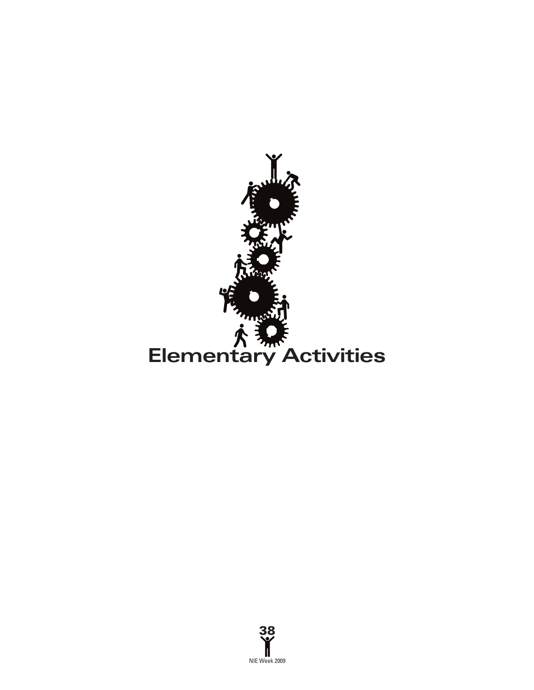

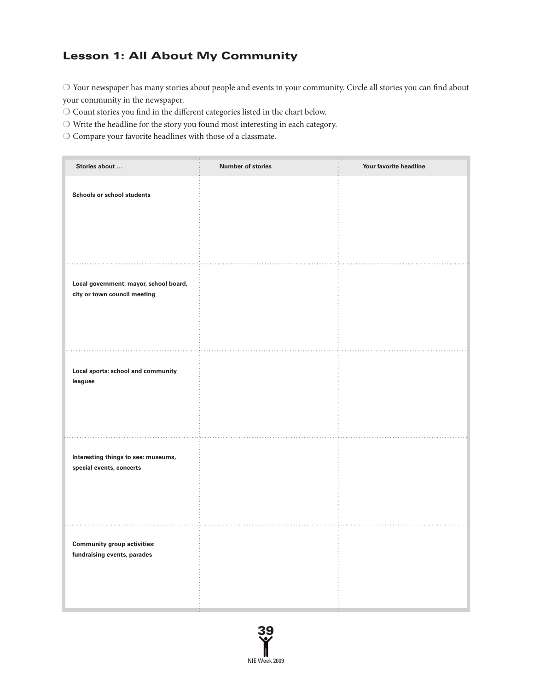# Lesson 1: All About My Community

 $\bigcirc$  Your newspaper has many stories about people and events in your community. Circle all stories you can find about your community in the newspaper.

 $\bigcirc$  Count stories you find in the different categories listed in the chart below.

 $\bigcirc$  Write the headline for the story you found most interesting in each category.

 $\bigcirc$  Compare your favorite headlines with those of a classmate.

| Stories about                                                          | <b>Number of stories</b> | Your favorite headline |
|------------------------------------------------------------------------|--------------------------|------------------------|
| <b>Schools or school students</b>                                      |                          |                        |
| Local government: mayor, school board,<br>city or town council meeting |                          |                        |
| Local sports: school and community<br>leagues                          |                          |                        |
| Interesting things to see: museums,<br>special events, concerts        |                          |                        |
| <b>Community group activities:</b><br>fundraising events, parades      |                          |                        |

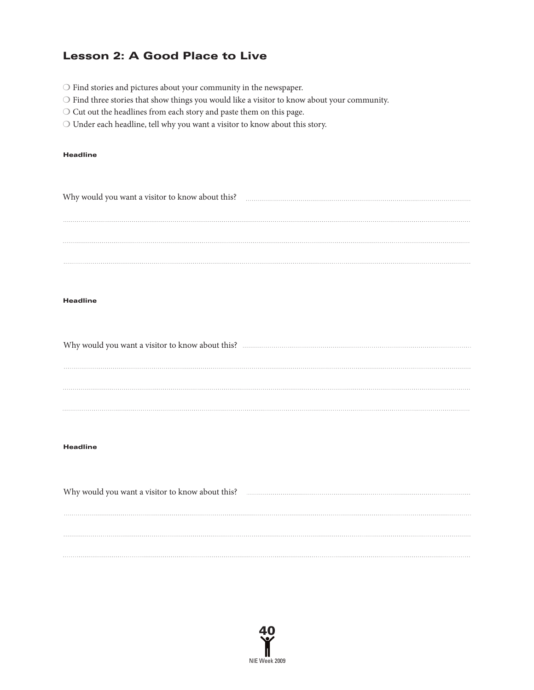### Lesson 2: A Good Place to Live

- ❍ Find stories and pictures about your community in the newspaper.
- ❍ Find three stories that show things you would like a visitor to know about your community.
- ❍ Cut out the headlines from each story and paste them on this page.
- ❍ Under each headline, tell why you want a visitor to know about this story.

#### Headline

| Why would you want a visitor to know about this? |  |
|--------------------------------------------------|--|
|                                                  |  |
|                                                  |  |
|                                                  |  |
|                                                  |  |
|                                                  |  |
|                                                  |  |

#### Headline

Why would you want a visitor to know about this? 

#### Headline

Why would you want a visitor to know about this? **Why would you want a visitor to know about this?** 

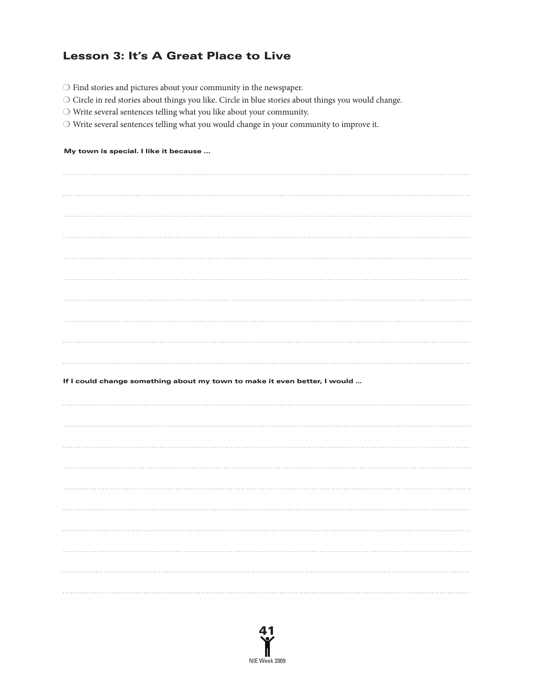# Lesson 3: It's A Great Place to Live

- $\bigcirc$  Find stories and pictures about your community in the newspaper.
- ❍ Circle in red stories about things you like. Circle in blue stories about things you would change.
- ❍ Write several sentences telling what you like about your community.
- ❍ Write several sentences telling what you would change in your community to improve it.

#### My town is special. I like it because ...

| If I could change something about my town to make it even better, I would |
|---------------------------------------------------------------------------|
|                                                                           |
|                                                                           |
|                                                                           |
|                                                                           |
|                                                                           |
|                                                                           |
|                                                                           |
|                                                                           |
|                                                                           |
|                                                                           |

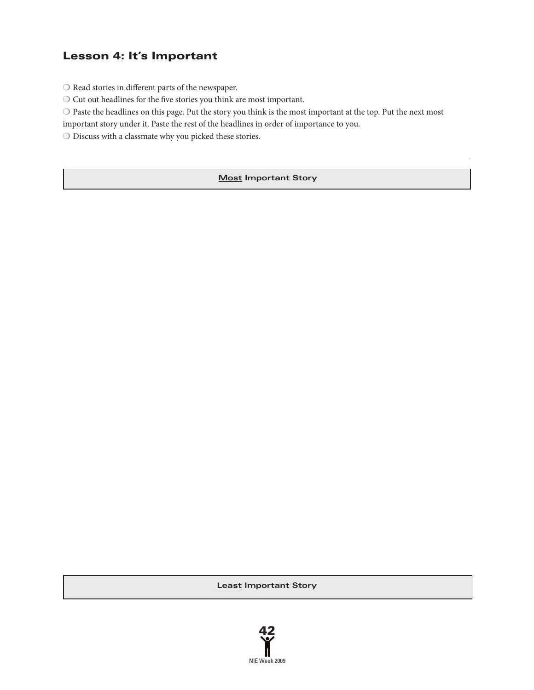### Lesson 4: It's Important

 $\bigcirc$  Read stories in different parts of the newspaper.

 $\bigcirc$  Cut out headlines for the five stories you think are most important.

❍ Paste the headlines on this page. Put the story you think is the most important at the top. Put the next most

important story under it. Paste the rest of the headlines in order of importance to you.

❍ Discuss with a classmate why you picked these stories.

### **Most Important Story**

**Least Important Story**

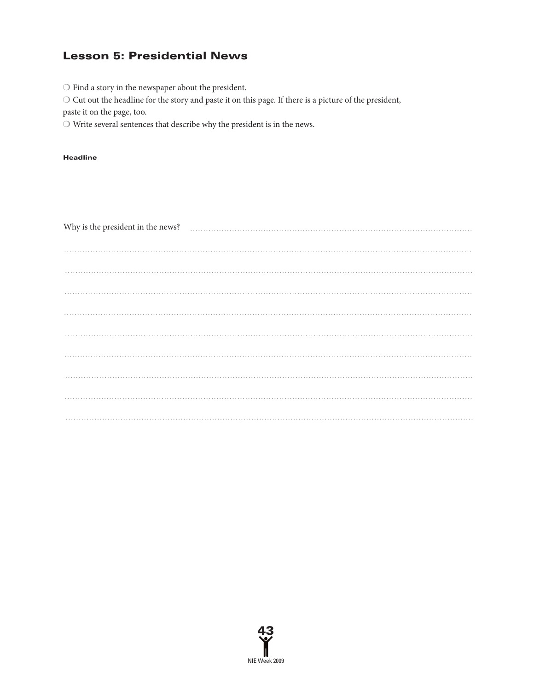## Lesson 5: Presidential News

 $\bigcirc$  Find a story in the newspaper about the president.

❍ Cut out the headline for the story and paste it on this page. If there is a picture of the president,

paste it on the page, too.

 $\bigcirc$  Write several sentences that describe why the president is in the news.

#### Headline

| Why is the president in the news? |  |
|-----------------------------------|--|
|                                   |  |
|                                   |  |
|                                   |  |
|                                   |  |
|                                   |  |
|                                   |  |
|                                   |  |
|                                   |  |
|                                   |  |

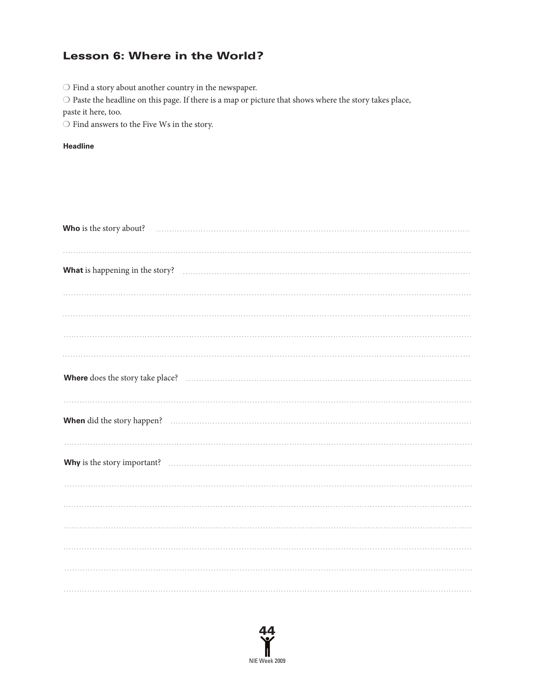# Lesson 6: Where in the World?

 $\bigcirc$  Find a story about another country in the newspaper.

 $\bigcirc$  Paste the headline on this page. If there is a map or picture that shows where the story takes place,

paste it here, too.

 $\bigcirc$  Find answers to the Five Ws in the story.

### **Headline**

| What is happening in the story? Matter of the story of the story of the story of the story of the story of the story of the story of the story of the story of the story of the story of the story of the story of the story o |
|--------------------------------------------------------------------------------------------------------------------------------------------------------------------------------------------------------------------------------|
|                                                                                                                                                                                                                                |
|                                                                                                                                                                                                                                |
|                                                                                                                                                                                                                                |
|                                                                                                                                                                                                                                |
|                                                                                                                                                                                                                                |
|                                                                                                                                                                                                                                |
|                                                                                                                                                                                                                                |
|                                                                                                                                                                                                                                |
|                                                                                                                                                                                                                                |
|                                                                                                                                                                                                                                |
|                                                                                                                                                                                                                                |
|                                                                                                                                                                                                                                |
|                                                                                                                                                                                                                                |
|                                                                                                                                                                                                                                |
|                                                                                                                                                                                                                                |

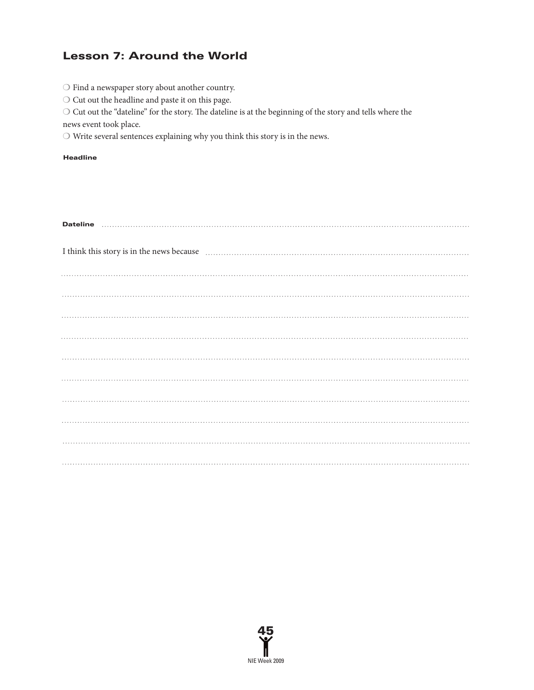# Lesson 7: Around the World

- $\bigcirc$  Find a new<br>spaper story about another country.
- ❍ Cut out the headline and paste it on this page.

 $\bigcirc$  Cut out the "dateline" for the story. The dateline is at the beginning of the story and tells where the

news event took place.

 $\bigcirc$  Write several sentences explaining why you think this story is in the news.

#### Headline

| I think this story is in the news because <b>contained a container and the news</b> because <b>container and the news</b> because |  |  |
|-----------------------------------------------------------------------------------------------------------------------------------|--|--|
|                                                                                                                                   |  |  |
|                                                                                                                                   |  |  |
|                                                                                                                                   |  |  |
|                                                                                                                                   |  |  |
|                                                                                                                                   |  |  |
|                                                                                                                                   |  |  |
|                                                                                                                                   |  |  |
|                                                                                                                                   |  |  |
|                                                                                                                                   |  |  |
|                                                                                                                                   |  |  |

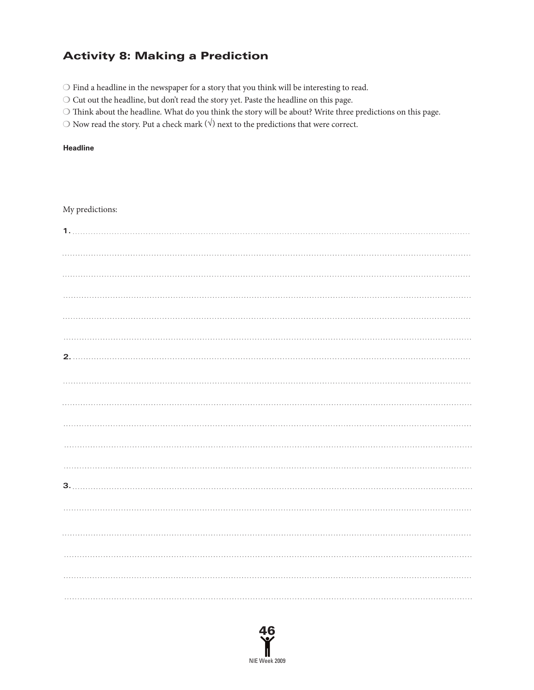# Activity 8: Making a Prediction

 $\bigcirc$  Find a headline in the newspaper for a story that you think will be interesting to read.

❍ Cut out the headline, but don't read the story yet. Paste the headline on this page.

 $\bigcirc$  Think about the headline. What do you think the story will be about? Write three predictions on this page.

 $\bigcirc$  Now read the story. Put a check mark  $(\forall)$  next to the predictions that were correct.

#### **Headline**

### My predictions:

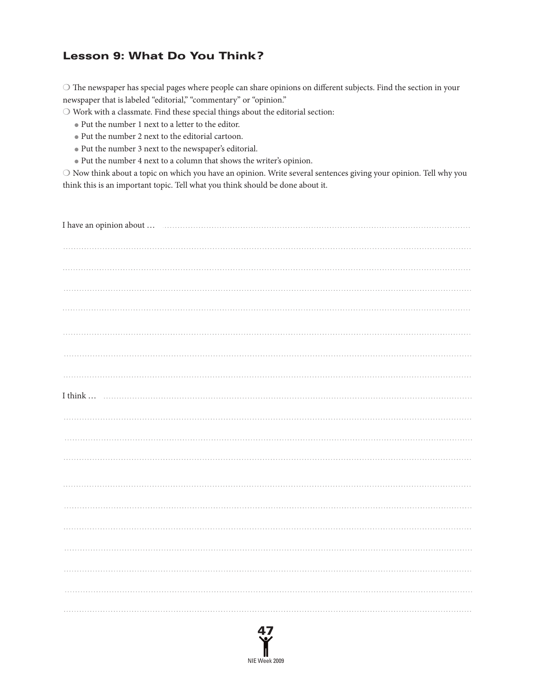## Lesson 9: What Do You Think?

O The newspaper has special pages where people can share opinions on different subjects. Find the section in your newspaper that is labeled "editorial," "commentary" or "opinion."

 $\bigcirc$  Work with a classmate. Find these special things about the editorial section:

- Put the number 1 next to a letter to the editor.
- Put the number 2 next to the editorial cartoon.
- Put the number 3 next to the newspaper's editorial.
- Put the number 4 next to a column that shows the writer's opinion.

❍ Now think about a topic on which you have an opinion. Write several sentences giving your opinion. Tell why you think this is an important topic. Tell what you think should be done about it.

| I have an opinion about $\dots$ |
|---------------------------------|
|                                 |
|                                 |
|                                 |
|                                 |
|                                 |
|                                 |
|                                 |
|                                 |
|                                 |
|                                 |
|                                 |
|                                 |
|                                 |
|                                 |
|                                 |
|                                 |
|                                 |
|                                 |

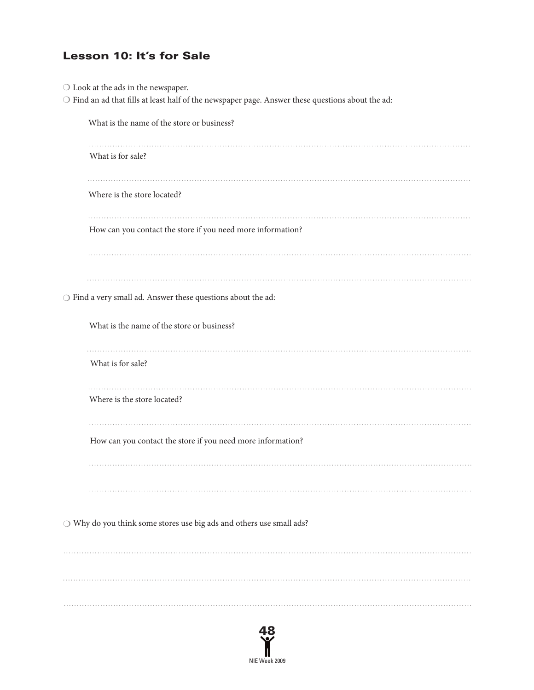# Lesson 10: It's for Sale

| $\bigcirc$ Look at the ads in the newspaper.<br>$\bigcirc$ Find an ad that fills at least half of the newspaper page. Answer these questions about the ad: |
|------------------------------------------------------------------------------------------------------------------------------------------------------------|
| What is the name of the store or business?                                                                                                                 |
| .<br>What is for sale?                                                                                                                                     |
| Where is the store located?                                                                                                                                |
| How can you contact the store if you need more information?                                                                                                |
|                                                                                                                                                            |
| $\bigcirc$ Find a very small ad. Answer these questions about the ad:                                                                                      |
| What is the name of the store or business?                                                                                                                 |
| What is for sale?                                                                                                                                          |
| Where is the store located?                                                                                                                                |
| How can you contact the store if you need more information?                                                                                                |
|                                                                                                                                                            |
| $\bigcirc$ Why do you think some stores use big ads and others use small ads?                                                                              |
|                                                                                                                                                            |
|                                                                                                                                                            |
|                                                                                                                                                            |

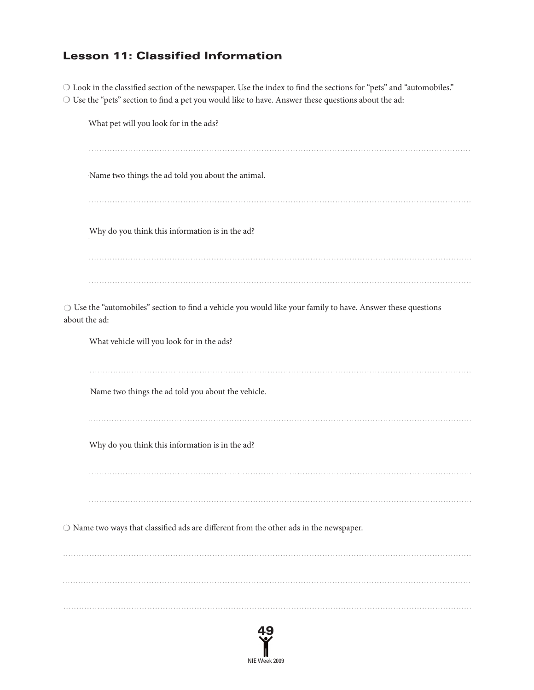## Lesson 11: Classified Information

O Look in the classified section of the newspaper. Use the index to find the sections for "pets" and "automobiles."  $\bigcirc$  Use the "pets" section to find a pet you would like to have. Answer these questions about the ad:

What pet will you look for in the ads? Name two things the ad told you about the animal. Why do you think this information is in the ad? ❍ Use the "automobiles" section to nd a vehicle you would like your family to have. Answer these questions about the ad: What vehicle will you look for in the ads? Name two things the ad told you about the vehicle. Why do you think this information is in the ad?  $\bigcirc$  Name two ways that classified ads are different from the other ads in the newspaper. 

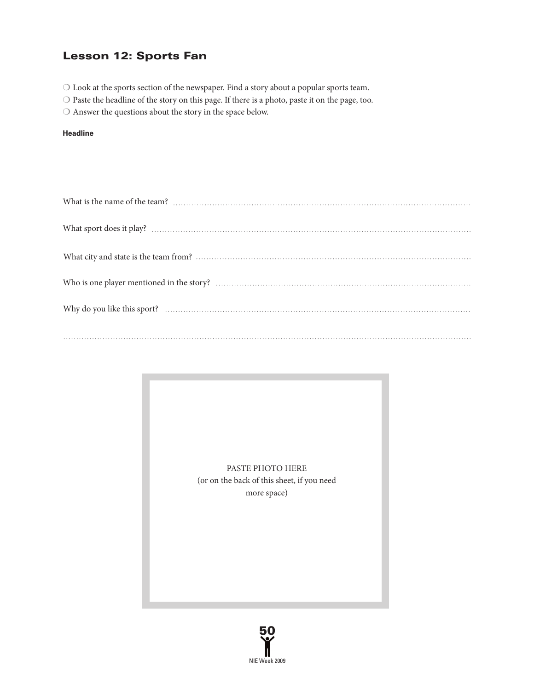### Lesson 12: Sports Fan

- ❍ Look at the sports section of the newspaper. Find a story about a popular sports team.
- $\bigcirc$  Paste the headline of the story on this page. If there is a photo, paste it on the page, too.
- $\bigcirc$  Answer the questions about the story in the space below.

#### **Headline**

PASTE PHOTO HERE (or on the back of this sheet, if you need more space)

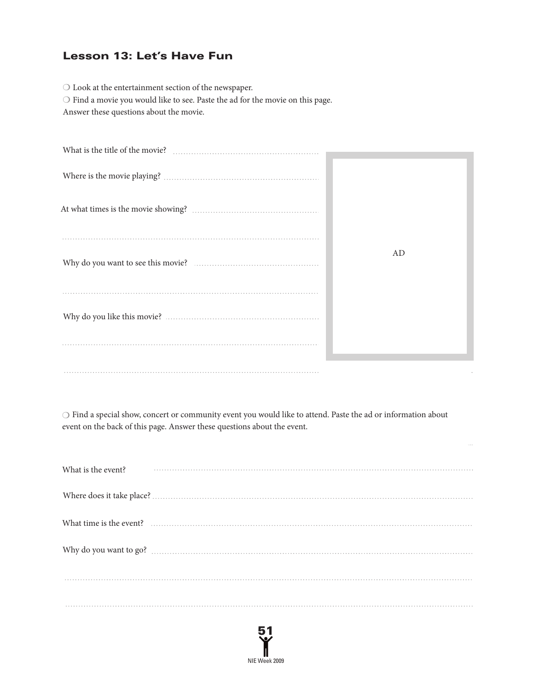### Lesson 13: Let's Have Fun

 $\bigcirc$  Look at the entertainment section of the newspaper. ❍ Find a movie you would like to see. Paste the ad for the movie on this page. Answer these questions about the movie.

| $\emph{Where is the movie playing?}\label{thm:non-1}$ |    |
|-------------------------------------------------------|----|
|                                                       |    |
|                                                       |    |
|                                                       | AD |
|                                                       |    |
|                                                       |    |
|                                                       |    |
|                                                       |    |

❍ Find a special show, concert or community event you would like to attend. Paste the ad or information about event on the back of this page. Answer these questions about the event.

| What is the event? |                                                                                                                                                                                                                               |
|--------------------|-------------------------------------------------------------------------------------------------------------------------------------------------------------------------------------------------------------------------------|
|                    |                                                                                                                                                                                                                               |
|                    | What time is the event? encourance contained a state of the state of the state of the state of the state of the state of the state of the state of the state of the state of the state of the state of the state of the state |
|                    |                                                                                                                                                                                                                               |
|                    |                                                                                                                                                                                                                               |
|                    |                                                                                                                                                                                                                               |

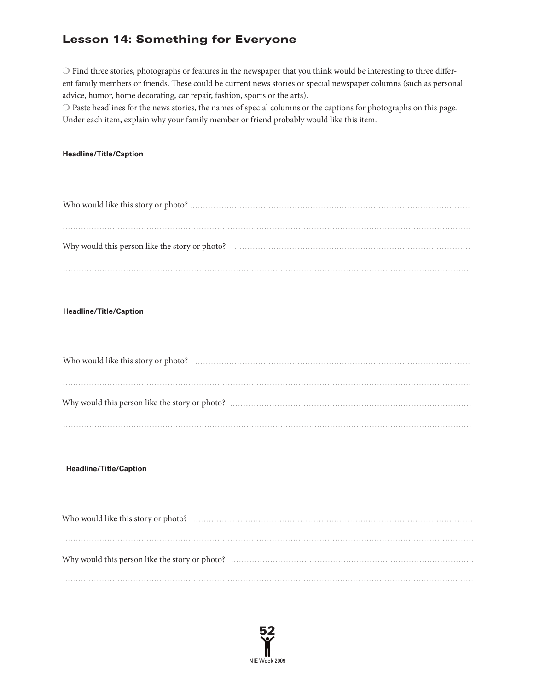# Lesson 14: Something for Everyone

 $\bigcirc$  Find three stories, photographs or features in the newspaper that you think would be interesting to three different family members or friends. These could be current news stories or special newspaper columns (such as personal advice, humor, home decorating, car repair, fashion, sports or the arts).

❍ Paste headlines for the news stories, the names of special columns or the captions for photographs on this page. Under each item, explain why your family member or friend probably would like this item.

### **Headline/Title/Caption**

### **Headline/Title/Caption**

#### **Headline/Title/Caption**

| Why would this person like the story or photo? ……………………………………………………………………………………… |
|----------------------------------------------------------------------------------|
|                                                                                  |